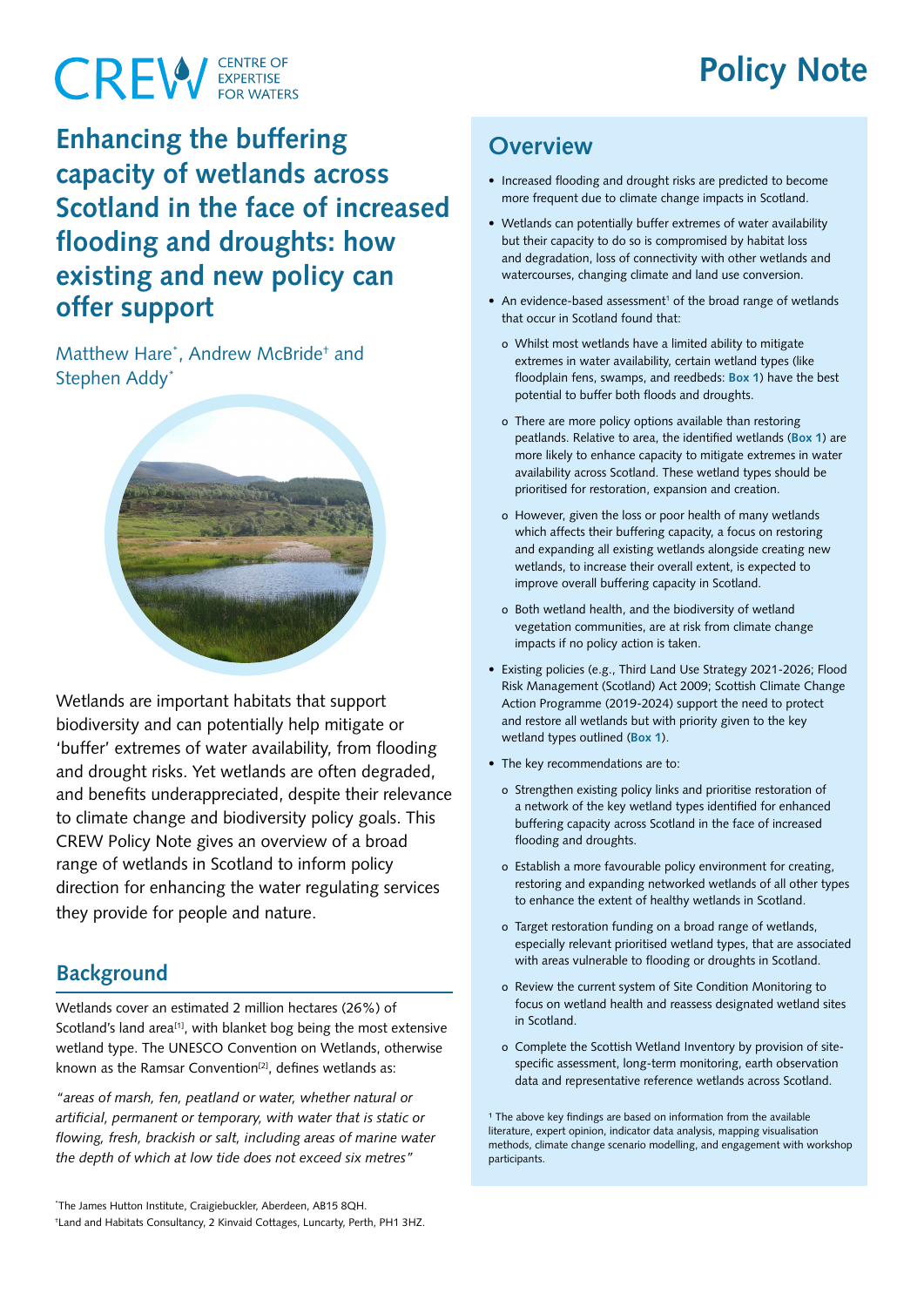# **Policy Note**

# **CREW** EXPERTISE

## **Enhancing the buffering capacity of wetlands across Scotland in the face of increased flooding and droughts: how existing and new policy can offer support**

Matthew Hare<sup>\*</sup>, Andrew McBride<sup>+</sup> and Stephen Addy\*



Wetlands are important habitats that support biodiversity and can potentially help mitigate or 'buffer' extremes of water availability, from flooding and drought risks. Yet wetlands are often degraded, and benefits underappreciated, despite their relevance to climate change and biodiversity policy goals. This CREW Policy Note gives an overview of a broad range of wetlands in Scotland to inform policy direction for enhancing the water regulating services they provide for people and nature.

#### **Background**

Wetlands cover an estimated 2 million hectares (26%) of Scotland's land area<sup>[1]</sup>, with blanket bog being the most extensive wetland type. The UNESCO Convention on Wetlands, otherwise known as the Ramsar Convention<sup>[2]</sup>, defines wetlands as:

*"areas of marsh, fen, peatland or water, whether natural or artificial, permanent or temporary, with water that is static or flowing, fresh, brackish or salt, including areas of marine water the depth of which at low tide does not exceed six metres"* 

#### **Overview**

- Increased flooding and drought risks are predicted to become more frequent due to climate change impacts in Scotland.
- Wetlands can potentially buffer extremes of water availability but their capacity to do so is compromised by habitat loss and degradation, loss of connectivity with other wetlands and watercourses, changing climate and land use conversion.
- An evidence-based assessment<sup>1</sup> of the broad range of wetlands that occur in Scotland found that:
	- o Whilst most wetlands have a limited ability to mitigate extremes in water availability, certain wetland types (like floodplain fens, swamps, and reedbeds: **Box 1**) have the best potential to buffer both floods and droughts.
	- o There are more policy options available than restoring peatlands. Relative to area, the identified wetlands (**Box 1**) are more likely to enhance capacity to mitigate extremes in water availability across Scotland. These wetland types should be prioritised for restoration, expansion and creation.
	- o However, given the loss or poor health of many wetlands which affects their buffering capacity, a focus on restoring and expanding all existing wetlands alongside creating new wetlands, to increase their overall extent, is expected to improve overall buffering capacity in Scotland.
	- o Both wetland health, and the biodiversity of wetland vegetation communities, are at risk from climate change impacts if no policy action is taken.
- Existing policies (e.g., Third Land Use Strategy 2021-2026; Flood Risk Management (Scotland) Act 2009; Scottish Climate Change Action Programme (2019-2024) support the need to protect and restore all wetlands but with priority given to the key wetland types outlined (**Box 1**).
- The key recommendations are to:
	- o Strengthen existing policy links and prioritise restoration of a network of the key wetland types identified for enhanced buffering capacity across Scotland in the face of increased flooding and droughts.
	- o Establish a more favourable policy environment for creating, restoring and expanding networked wetlands of all other types to enhance the extent of healthy wetlands in Scotland.
	- o Target restoration funding on a broad range of wetlands, especially relevant prioritised wetland types, that are associated with areas vulnerable to flooding or droughts in Scotland.
	- o Review the current system of Site Condition Monitoring to focus on wetland health and reassess designated wetland sites in Scotland.
	- o Complete the Scottish Wetland Inventory by provision of sitespecific assessment, long-term monitoring, earth observation data and representative reference wetlands across Scotland.

 $1$  The above key findings are based on information from the available literature, expert opinion, indicator data analysis, mapping visualisation methods, climate change scenario modelling, and engagement with workshop participants.

<sup>\*</sup> The James Hutton Institute, Craigiebuckler, Aberdeen, AB15 8QH. † Land and Habitats Consultancy, 2 Kinvaid Cottages, Luncarty, Perth, PH1 3HZ.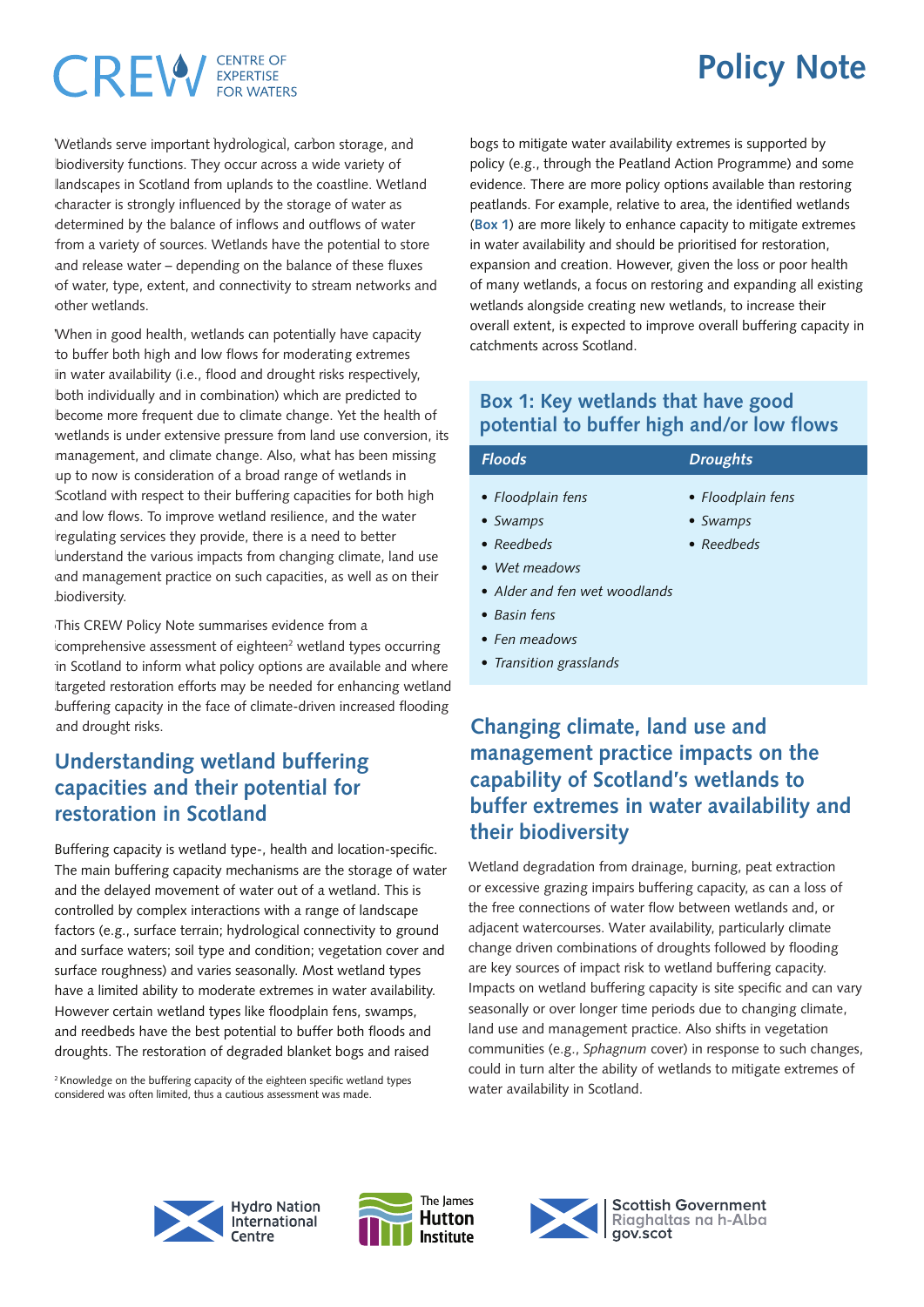### CENTRE OF CREW

# **Policy Note**

Wetlands serve important hydrological, carbon storage, and Wetlands serve important hydrological, carbon storage, and biodiversity functions. They occur across a wide variety of biodiversity functions. They occur across a wide variety of landscapes in Scotland from uplands to the coastline. Wetland character is strongly influenced by the storage of water as landscapes in Scotland from uplands to the coastline. Wetland character is strongly influenced by the storage of water as determined by the balance of inflows and outflows of water determined by the balance of inflows and outflows of water from a variety of sources. Wetlands have the potential to store from a variety of sources. Wetlands have the potential to store and release water – depending on the balance of these fluxes of water, type, extent, and connectivity to stream networks and of water, type, extent, and connectivity to stream networks and other wetlands. other wetlands.

When in good health, wetlands can potentially have capacity When in good health, wetlands can potentially have capacity to buffer both high and low flows for moderating extremes in water availability (i.e., flood and drought risks respectively, in water availability (i.e., flood and drought risks respectively,<br>|both individually and in combination) which are predicted to become more frequent due to climate change. Yet the health of become more frequent due to climate change. Yet the health of wetlands is under extensive pressure from land use conversion, its wetlands is under extensive pressure from land use conversion, its management, and climate change. Also, what has been missing up to now is consideration of a broad range of wetlands in management, and climate change. Also, what has been missing up to now is consideration of a broad range of wetlands in Scotland with respect to their buffering capacities for both high Scotland with respect to their buffering capacities for both high and low flows. To improve wetland resilience, and the water regulating services they provide, there is a need to better understand the various impacts from changing climate, land use and management practice on such capacities, as well as on their  $T<sub>1</sub>$   $T<sub>2</sub>$  and  $T<sub>3</sub>$  and  $T<sub>4</sub>$  and  $T<sub>5</sub>$  and  $T<sub>6</sub>$  and  $T<sub>7</sub>$  and  $T<sub>8</sub>$  and  $T<sub>9</sub>$  and  $T<sub>9</sub>$  and  $T<sub>9</sub>$  and  $T<sub>9</sub>$  and  $T<sub>9</sub>$  and  $T<sub>9</sub>$  and  $T<sub>9</sub>$  and biodiversity.

This CREW Policy Note summarises evidence from a comprehensive assessment of eighteen<sup>2</sup> wetland types occurring in Scotland to inform what policy options are available and where targeted restoration efforts may be needed for enhancing wetland buffering capacity in the face of climate-driven increased flooding and drought risks.

#### **Understanding wetland buffering capacities and their potential for restoration in Scotland**

Buffering capacity is wetland type-, health and location-specific. The main buffering capacity mechanisms are the storage of water and the delayed movement of water out of a wetland. This is controlled by complex interactions with a range of landscape factors (e.g., surface terrain; hydrological connectivity to ground and surface waters; soil type and condition; vegetation cover and surface roughness) and varies seasonally. Most wetland types have a limited ability to moderate extremes in water availability. However certain wetland types like floodplain fens, swamps, and reedbeds have the best potential to buffer both floods and droughts. The restoration of degraded blanket bogs and raised

 $2$  Knowledge on the buffering capacity of the eighteen specific wetland types considered was often limited, thus a cautious assessment was made.

bogs to mitigate water availability extremes is supported by policy (e.g., through the Peatland Action Programme) and some evidence. There are more policy options available than restoring peatlands. For example, relative to area, the identified wetlands (**Box 1**) are more likely to enhance capacity to mitigate extremes in water availability and should be prioritised for restoration, expansion and creation. However, given the loss or poor health of many wetlands, a focus on restoring and expanding all existing wetlands alongside creating new wetlands, to increase their overall extent, is expected to improve overall buffering capacity in catchments across Scotland.

#### **Box 1: Key wetlands that have good potential to buffer high and/or low flows**

| <b>Floods</b>                 | <b>Droughts</b>    |
|-------------------------------|--------------------|
| • Floodplain fens             | • Floodplain fens  |
| • Swamps                      | • Swamps           |
| $\bullet$ Reedbeds            | $\bullet$ Reedbeds |
| • Wet meadows                 |                    |
| • Alder and fen wet woodlands |                    |
| $\bullet$ Basin fens          |                    |
| $\bullet$ Fen meadows         |                    |
| • Transition grasslands       |                    |

#### **Changing climate, land use and management practice impacts on the capability of Scotland's wetlands to buffer extremes in water availability and their biodiversity**

Wetland degradation from drainage, burning, peat extraction or excessive grazing impairs buffering capacity, as can a loss of or excessive grazing impairs buffering capacity, as can a loss of the free connections of water flow between wetlands and, or the free connections of water flow between wetlands and, or adjacent watercourses. Water availability, particularly climate adjacent watercourses. Water availability, particularly climate change driven combinations of droughts followed by flooding change driven combinations of droughts followed by flooding are key sources of impact risk to wetland buffering capacity. are key sources of impact risk to wetland buffering capacity. Impacts on wetland buffering capacity is site specific and can vary Impacts on wetland buffering capacity is site specific and can vary seasonally or over longer time periods due to changing climate, seasonally or over longer time periods due to changing climate, land use and management practice. Also shifts in vegetation land use and management practice. Also shifts in vegetation communities (e.g., *Sphagnum cover*) in response to such changes, communities (e.g., *Sphagnum* cover) in response to such changes, could in turn alter the ability of wetlands to mitigate extremes of could in turn alter the ability of wetlands to mitigate extremes of water availability in Scotland. water availability in Scotland.







**Scottish Government** Rigahaltas na h-Alba gov.scot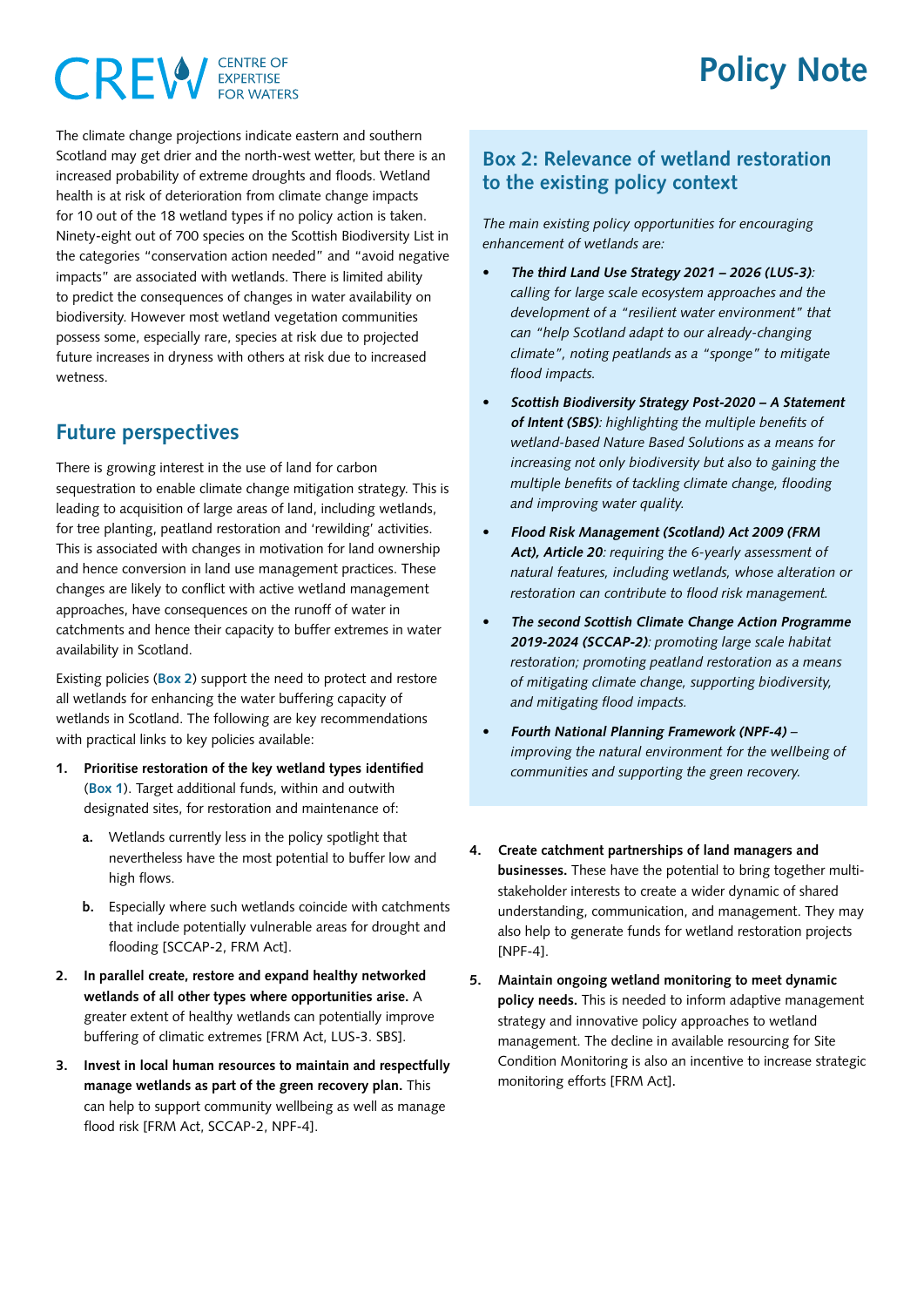### **CENTRE OF** CREW

The climate change projections indicate eastern and southern Scotland may get drier and the north-west wetter, but there is an increased probability of extreme droughts and floods. Wetland health is at risk of deterioration from climate change impacts for 10 out of the 18 wetland types if no policy action is taken. Ninety-eight out of 700 species on the Scottish Biodiversity List in the categories "conservation action needed" and "avoid negative impacts" are associated with wetlands. There is limited ability to predict the consequences of changes in water availability on biodiversity. However most wetland vegetation communities possess some, especially rare, species at risk due to projected future increases in dryness with others at risk due to increased wetness.

#### **Future perspectives**

There is growing interest in the use of land for carbon sequestration to enable climate change mitigation strategy. This is leading to acquisition of large areas of land, including wetlands, for tree planting, peatland restoration and 'rewilding' activities. This is associated with changes in motivation for land ownership and hence conversion in land use management practices. These changes are likely to conflict with active wetland management approaches, have consequences on the runoff of water in catchments and hence their capacity to buffer extremes in water availability in Scotland.

Existing policies (**Box 2**) support the need to protect and restore all wetlands for enhancing the water buffering capacity of wetlands in Scotland. The following are key recommendations with practical links to key policies available:

- **1. Prioritise restoration of the key wetland types identified** (**Box 1**). Target additional funds, within and outwith designated sites, for restoration and maintenance of:
	- **a.** Wetlands currently less in the policy spotlight that nevertheless have the most potential to buffer low and high flows.
	- **b.** Especially where such wetlands coincide with catchments that include potentially vulnerable areas for drought and flooding [SCCAP-2, FRM Act].
- **2. In parallel create, restore and expand healthy networked wetlands of all other types where opportunities arise.** A greater extent of healthy wetlands can potentially improve buffering of climatic extremes [FRM Act, LUS-3. SBS].
- **3. Invest in local human resources to maintain and respectfully manage wetlands as part of the green recovery plan.** This can help to support community wellbeing as well as manage flood risk [FRM Act, SCCAP-2, NPF-4].

#### **Box 2: Relevance of wetland restoration to the existing policy context**

*The main existing policy opportunities for encouraging enhancement of wetlands are:* 

- **• The third Land Use Strategy 2021 2026 (LUS-3)**: *calling for large scale ecosystem approaches and the development of a "resilient water environment" that can "help Scotland adapt to our already-changing climate", noting peatlands as a "sponge" to mitigate flood impacts.*
- **• Scottish Biodiversity Strategy Post-2020 A Statement of Intent (SBS)**: *highlighting the multiple benefits of wetland-based Nature Based Solutions as a means for increasing not only biodiversity but also to gaining the multiple benefits of tackling climate change, flooding and improving water quality.*
- **• Flood Risk Management (Scotland) Act 2009 (FRM Act), Article 20**: *requiring the 6-yearly assessment of natural features, including wetlands, whose alteration or restoration can contribute to flood risk management.*
- **• The second Scottish Climate Change Action Programme 2019-2024 (SCCAP-2)**: *promoting large scale habitat restoration; promoting peatland restoration as a means of mitigating climate change, supporting biodiversity, and mitigating flood impacts.*
- **• Fourth National Planning Framework (NPF-4)** *improving the natural environment for the wellbeing of communities and supporting the green recovery.*
- **4. Create catchment partnerships of land managers and businesses.** These have the potential to bring together multistakeholder interests to create a wider dynamic of shared understanding, communication, and management. They may also help to generate funds for wetland restoration projects [NPF-4].
- **5. Maintain ongoing wetland monitoring to meet dynamic policy needs.** This is needed to inform adaptive management strategy and innovative policy approaches to wetland management. The decline in available resourcing for Site Condition Monitoring is also an incentive to increase strategic monitoring efforts [FRM Act].